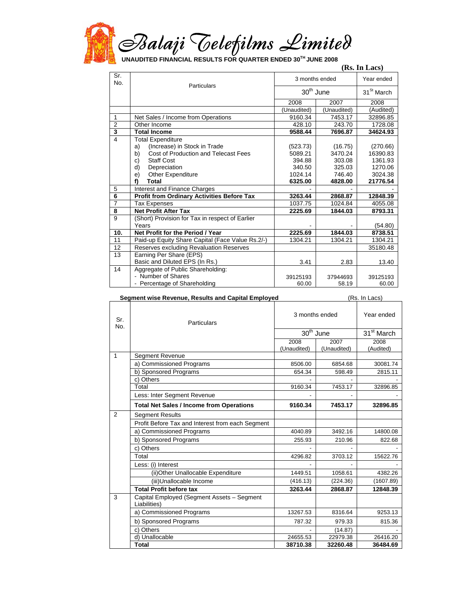

|                         |                                                   | (Rs. In Lacs)  |             |                        |
|-------------------------|---------------------------------------------------|----------------|-------------|------------------------|
| Sr.<br>No.              | Particulars                                       | 3 months ended |             | Year ended             |
|                         |                                                   | $30th$ June    |             | 31 <sup>St</sup> March |
|                         |                                                   | 2008           | 2007        | 2008                   |
|                         |                                                   | (Unaudited)    | (Unaudited) | (Audited)              |
| $\mathbf{1}$            | Net Sales / Income from Operations                | 9160.34        | 7453.17     | 32896.85               |
| $\overline{2}$          | Other Income                                      | 428.10         | 243.70      | 1728.08                |
| $\overline{\mathbf{3}}$ | <b>Total Income</b>                               | 9588.44        | 7696.87     | 34624.93               |
| 4                       | <b>Total Expenditure</b>                          |                |             |                        |
|                         | (Increase) in Stock in Trade<br>a)                | (523.73)       | (16.75)     | (270.66)               |
|                         | Cost of Production and Telecast Fees<br>b)        | 5089.21        | 3470.24     | 16390.83               |
|                         | <b>Staff Cost</b><br>C)                           | 394.88         | 303.08      | 1361.93                |
|                         | Depreciation<br>d)                                | 340.50         | 325.03      | 1270.06                |
|                         | <b>Other Expenditure</b><br>e)                    | 1024.14        | 746.40      | 3024.38                |
|                         | Total<br>f)                                       | 6325.00        | 4828.00     | 21776.54               |
| 5                       | Interest and Finance Charges                      |                |             |                        |
| $\overline{6}$          | <b>Profit from Ordinary Activities Before Tax</b> | 3263.44        | 2868.87     | 12848.39               |
| 7                       | <b>Tax Expenses</b>                               | 1037.75        | 1024.84     | 4055.08                |
| 8                       | <b>Net Profit After Tax</b>                       | 2225.69        | 1844.03     | 8793.31                |
| $\overline{9}$          | (Short) Provision for Tax in respect of Earlier   |                |             |                        |
|                         | Years                                             |                |             | (54.80)                |
| 10.                     | Net Profit for the Period / Year                  | 2225.69        | 1844.03     | 8738.51                |
| 11                      | Paid-up Equity Share Capital (Face Value Rs.2/-)  | 1304.21        | 1304.21     | 1304.21                |
| 12                      | Reserves excluding Revaluation Reserves           |                |             | 35180.48               |
| 13                      | Earning Per Share (EPS)                           |                |             |                        |
|                         | Basic and Diluted EPS (In Rs.)                    | 3.41           | 2.83        | 13.40                  |
| 14                      | Aggregate of Public Shareholding:                 |                |             |                        |
|                         | - Number of Shares                                | 39125193       | 37944693    | 39125193               |
|                         | - Percentage of Shareholding                      | 60.00          | 58.19       | 60.00                  |

**Segment wise Revenue, Results and Capital Employed** (Rs. In Lacs) 3 months ended Year ended 30<sup>th</sup> June 31<sup>st</sup> March Sr. Sr.<br>No. Particulars 2008 (Unaudited) 2007 (Unaudited) 2008 (Audited) Segment Revenue a) Commissioned Programs 8506.00 8506.00 6854.68 30081.74 b) Sponsored Programs 654.34 598.49 2815.11 c) Others - - - Total 9160.34 7453.17 32896.85 Less: Inter Segment Revenue 1 **Total Net Sales / Income from Operations 9160.34 7453.17 32896.85**  Segment Results Profit Before Tax and Interest from each Segment a) Commissioned Programs 14040.89 3492.16 14800.08 b) Sponsored Programs 255.93 210.96 822.68 c) Others - - - Total 4296.82 3703.12 15622.76 Less: (i) Interest (ii)Other Unallocable Expenditure 1449.51 1058.61 4382.26 (iii)Unallocable Income (416.13) (224.36) (1607.89) 2 **Total Profit before tax 3263.44 2868.87 12848.39**  Capital Employed (Segment Assets – Segment Liabilities) a) Commissioned Programs 13267.53 8316.64 9253.13 b) Sponsored Programs 2008 815.36 c) Others - (14.87) - (14.87) - (14.87) - (14.87) - (14.87) - (14.87) - (14.87) - (14.87) - (14.87) - (14.87) - (14.87) - (14.87) - (14.87) - (14.87) - (14.87) - (14.87) - (14.87) - (14.87) - (14.87) - (14.87) - (14.87) d) Unallocable 24655.53 22979.38 26416.20 3

**Total 38710.38 32260.48 36484.69**